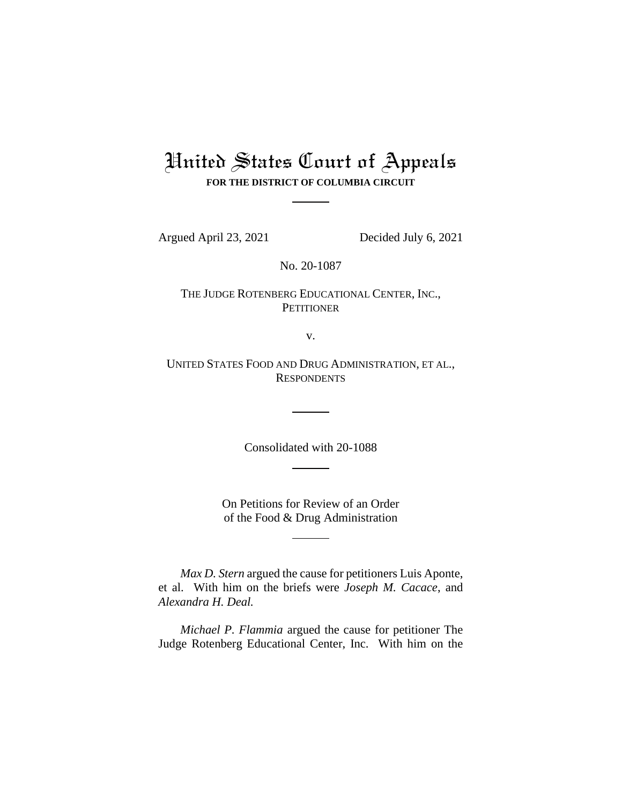# United States Court of Appeals **FOR THE DISTRICT OF COLUMBIA CIRCUIT**

Argued April 23, 2021 Decided July 6, 2021

No. 20-1087

THE JUDGE ROTENBERG EDUCATIONAL CENTER, INC., **PETITIONER** 

v.

UNITED STATES FOOD AND DRUG ADMINISTRATION, ET AL., **RESPONDENTS** 

Consolidated with 20-1088

On Petitions for Review of an Order of the Food & Drug Administration

*Max D. Stern* argued the cause for petitioners Luis Aponte, et al. With him on the briefs were *Joseph M. Cacace*, and *Alexandra H. Deal.*

*Michael P. Flammia* argued the cause for petitioner The Judge Rotenberg Educational Center, Inc. With him on the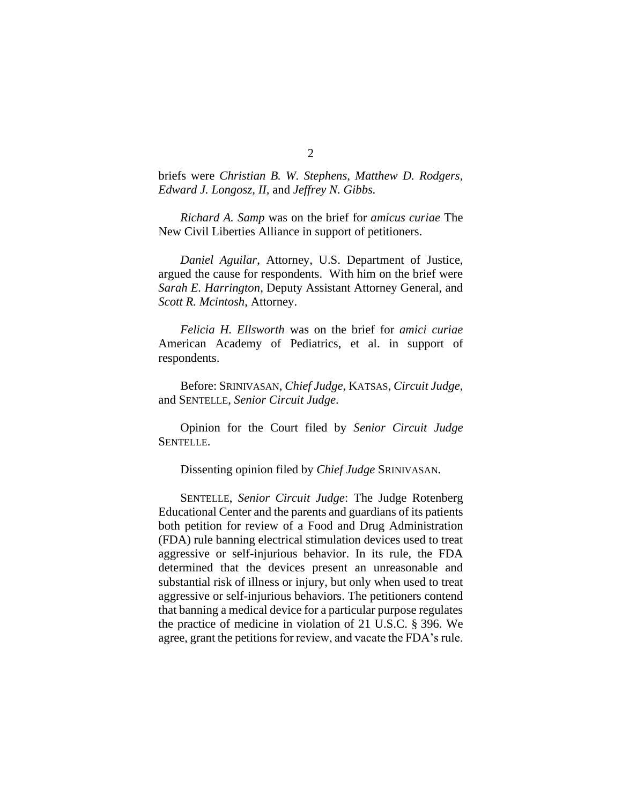briefs were *Christian B. W. Stephens, Matthew D. Rodgers, Edward J. Longosz, II,* and *Jeffrey N. Gibbs.* 

*Richard A. Samp* was on the brief for *amicus curiae* The New Civil Liberties Alliance in support of petitioners.

*Daniel Aguilar*, Attorney, U.S. Department of Justice, argued the cause for respondents. With him on the brief were *Sarah E. Harrington*, Deputy Assistant Attorney General, and *Scott R. Mcintosh*, Attorney.

*Felicia H. Ellsworth* was on the brief for *amici curiae*  American Academy of Pediatrics, et al. in support of respondents.

Before: SRINIVASAN, *Chief Judge*, KATSAS, *Circuit Judge*, and SENTELLE, *Senior Circuit Judge*.

Opinion for the Court filed by *Senior Circuit Judge* SENTELLE.

Dissenting opinion filed by *Chief Judge* SRINIVASAN.

SENTELLE, *Senior Circuit Judge*: The Judge Rotenberg Educational Center and the parents and guardians of its patients both petition for review of a Food and Drug Administration (FDA) rule banning electrical stimulation devices used to treat aggressive or self-injurious behavior. In its rule, the FDA determined that the devices present an unreasonable and substantial risk of illness or injury, but only when used to treat aggressive or self-injurious behaviors. The petitioners contend that banning a medical device for a particular purpose regulates the practice of medicine in violation of 21 U.S.C. § 396. We agree, grant the petitions for review, and vacate the FDA's rule.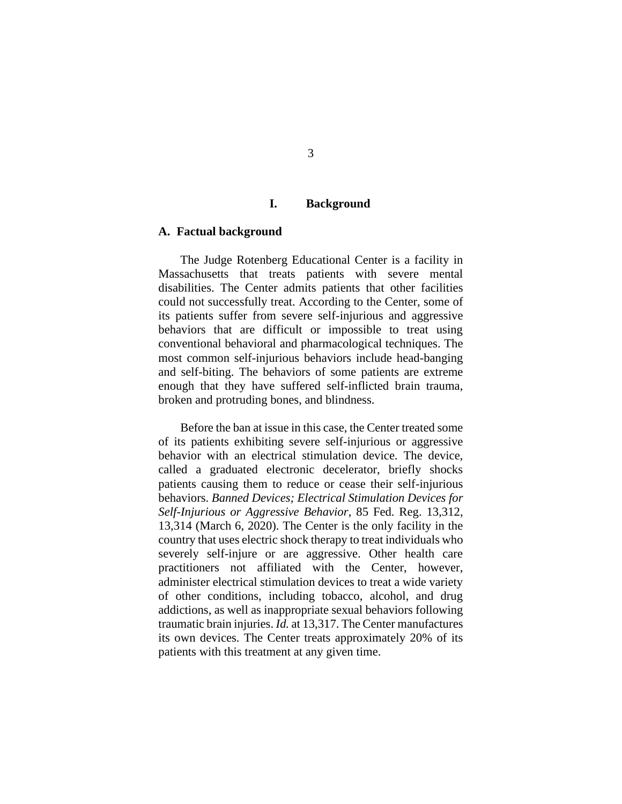## **I. Background**

#### **A. Factual background**

The Judge Rotenberg Educational Center is a facility in Massachusetts that treats patients with severe mental disabilities. The Center admits patients that other facilities could not successfully treat. According to the Center, some of its patients suffer from severe self-injurious and aggressive behaviors that are difficult or impossible to treat using conventional behavioral and pharmacological techniques. The most common self-injurious behaviors include head-banging and self-biting. The behaviors of some patients are extreme enough that they have suffered self-inflicted brain trauma, broken and protruding bones, and blindness.

Before the ban at issue in this case, the Center treated some of its patients exhibiting severe self-injurious or aggressive behavior with an electrical stimulation device. The device, called a graduated electronic decelerator, briefly shocks patients causing them to reduce or cease their self-injurious behaviors. *Banned Devices; Electrical Stimulation Devices for Self-Injurious or Aggressive Behavior*, 85 Fed. Reg. 13,312, 13,314 (March 6, 2020). The Center is the only facility in the country that uses electric shock therapy to treat individuals who severely self-injure or are aggressive. Other health care practitioners not affiliated with the Center, however, administer electrical stimulation devices to treat a wide variety of other conditions, including tobacco, alcohol, and drug addictions, as well as inappropriate sexual behaviors following traumatic brain injuries. *Id.* at 13,317. The Center manufactures its own devices. The Center treats approximately 20% of its patients with this treatment at any given time.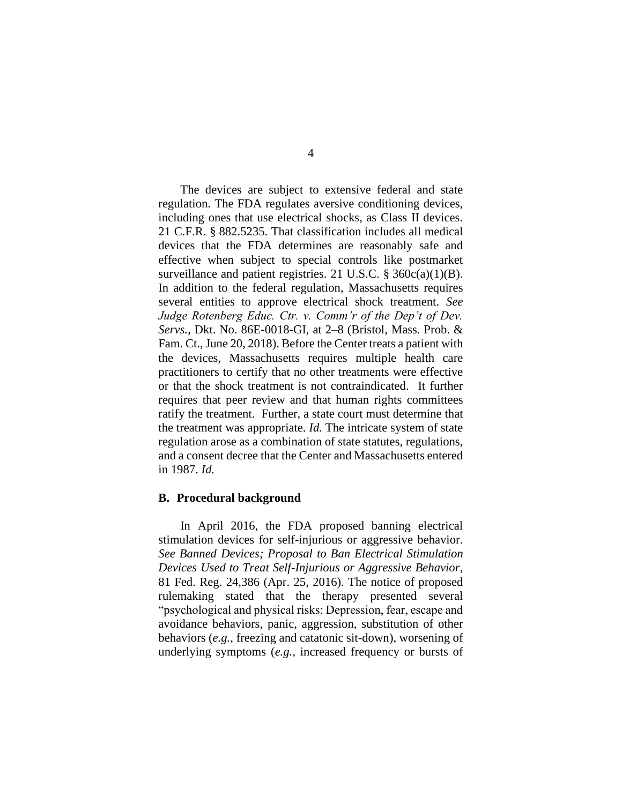The devices are subject to extensive federal and state regulation. The FDA regulates aversive conditioning devices, including ones that use electrical shocks, as Class II devices. 21 C.F.R. § 882.5235. That classification includes all medical devices that the FDA determines are reasonably safe and effective when subject to special controls like postmarket surveillance and patient registries. 21 U.S.C. § 360c(a)(1)(B). In addition to the federal regulation, Massachusetts requires several entities to approve electrical shock treatment. *See Judge Rotenberg Educ. Ctr. v. Comm'r of the Dep't of Dev. Servs.*, Dkt. No. 86E-0018-GI, at 2–8 (Bristol, Mass. Prob. & Fam. Ct., June 20, 2018). Before the Center treats a patient with the devices, Massachusetts requires multiple health care practitioners to certify that no other treatments were effective or that the shock treatment is not contraindicated. It further requires that peer review and that human rights committees ratify the treatment. Further, a state court must determine that the treatment was appropriate. *Id.* The intricate system of state regulation arose as a combination of state statutes, regulations, and a consent decree that the Center and Massachusetts entered in 1987. *Id.*

#### **B. Procedural background**

In April 2016, the FDA proposed banning electrical stimulation devices for self-injurious or aggressive behavior. *See Banned Devices; Proposal to Ban Electrical Stimulation Devices Used to Treat Self-Injurious or Aggressive Behavior*, 81 Fed. Reg. 24,386 (Apr. 25, 2016). The notice of proposed rulemaking stated that the therapy presented several "psychological and physical risks: Depression, fear, escape and avoidance behaviors, panic, aggression, substitution of other behaviors (*e.g.*, freezing and catatonic sit-down), worsening of underlying symptoms (*e.g.,* increased frequency or bursts of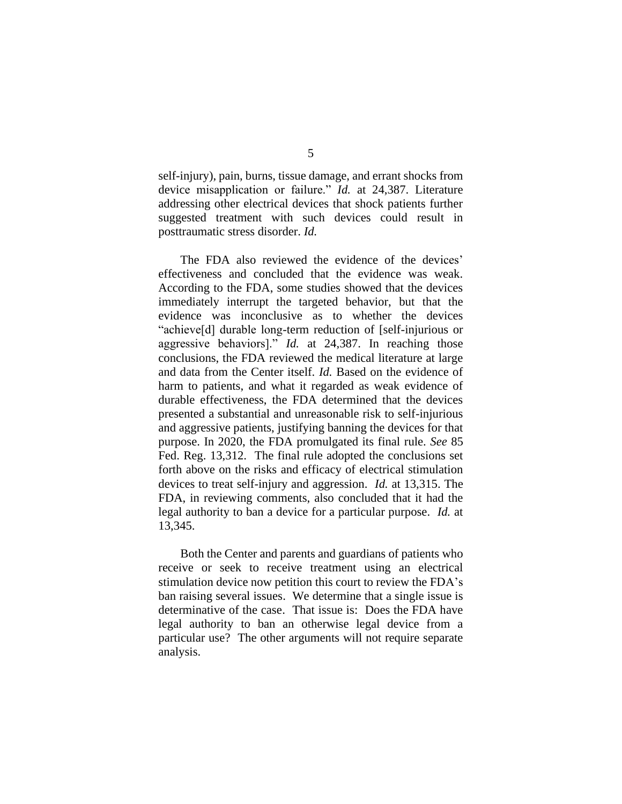self-injury), pain, burns, tissue damage, and errant shocks from device misapplication or failure." *Id.* at 24,387. Literature addressing other electrical devices that shock patients further suggested treatment with such devices could result in posttraumatic stress disorder. *Id.*

The FDA also reviewed the evidence of the devices' effectiveness and concluded that the evidence was weak. According to the FDA, some studies showed that the devices immediately interrupt the targeted behavior, but that the evidence was inconclusive as to whether the devices "achieve[d] durable long-term reduction of [self-injurious or aggressive behaviors]." *Id.* at 24,387. In reaching those conclusions, the FDA reviewed the medical literature at large and data from the Center itself. *Id.* Based on the evidence of harm to patients, and what it regarded as weak evidence of durable effectiveness, the FDA determined that the devices presented a substantial and unreasonable risk to self-injurious and aggressive patients, justifying banning the devices for that purpose. In 2020, the FDA promulgated its final rule. *See* 85 Fed. Reg. 13,312. The final rule adopted the conclusions set forth above on the risks and efficacy of electrical stimulation devices to treat self-injury and aggression. *Id.* at 13,315. The FDA, in reviewing comments, also concluded that it had the legal authority to ban a device for a particular purpose. *Id.* at 13,345.

Both the Center and parents and guardians of patients who receive or seek to receive treatment using an electrical stimulation device now petition this court to review the FDA's ban raising several issues. We determine that a single issue is determinative of the case. That issue is: Does the FDA have legal authority to ban an otherwise legal device from a particular use? The other arguments will not require separate analysis.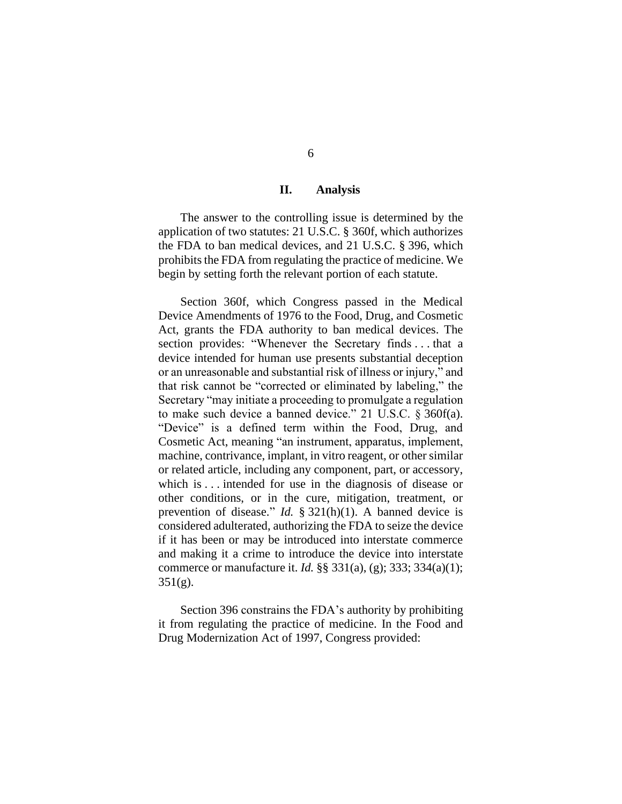## **II. Analysis**

The answer to the controlling issue is determined by the application of two statutes: 21 U.S.C. § 360f, which authorizes the FDA to ban medical devices, and 21 U.S.C. § 396, which prohibits the FDA from regulating the practice of medicine. We begin by setting forth the relevant portion of each statute.

Section 360f, which Congress passed in the Medical Device Amendments of 1976 to the Food, Drug, and Cosmetic Act, grants the FDA authority to ban medical devices. The section provides: "Whenever the Secretary finds . . . that a device intended for human use presents substantial deception or an unreasonable and substantial risk of illness or injury," and that risk cannot be "corrected or eliminated by labeling," the Secretary "may initiate a proceeding to promulgate a regulation to make such device a banned device." 21 U.S.C. § 360f(a). "Device" is a defined term within the Food, Drug, and Cosmetic Act, meaning "an instrument, apparatus, implement, machine, contrivance, implant, in vitro reagent, or other similar or related article, including any component, part, or accessory, which is ... intended for use in the diagnosis of disease or other conditions, or in the cure, mitigation, treatment, or prevention of disease." *Id.* § 321(h)(1). A banned device is considered adulterated, authorizing the FDA to seize the device if it has been or may be introduced into interstate commerce and making it a crime to introduce the device into interstate commerce or manufacture it. *Id.* §§ 331(a), (g); 333; 334(a)(1);  $351(g)$ .

Section 396 constrains the FDA's authority by prohibiting it from regulating the practice of medicine. In the Food and Drug Modernization Act of 1997, Congress provided: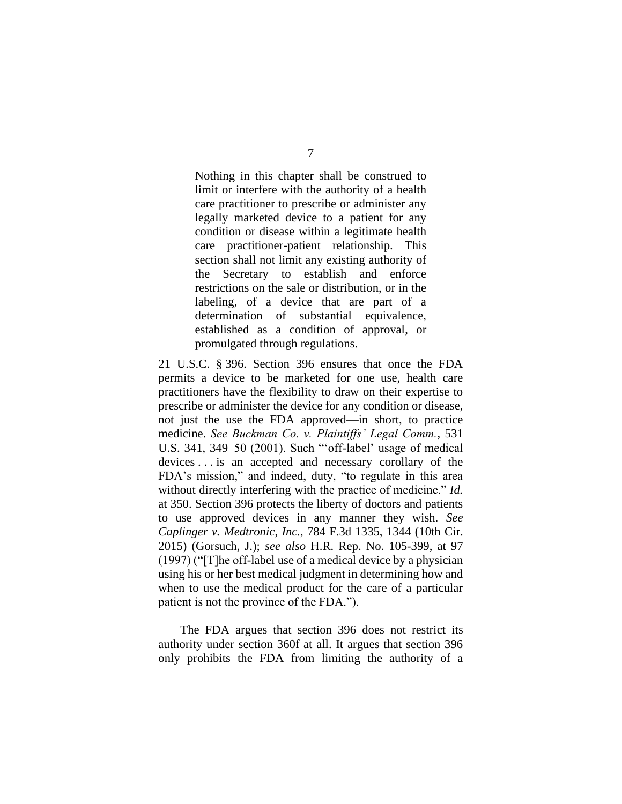Nothing in this chapter shall be construed to limit or interfere with the authority of a health care practitioner to prescribe or administer any legally marketed device to a patient for any condition or disease within a legitimate health care practitioner-patient relationship. This section shall not limit any existing authority of the Secretary to establish and enforce restrictions on the sale or distribution, or in the labeling, of a device that are part of a determination of substantial equivalence, established as a condition of approval, or promulgated through regulations.

21 U.S.C. § 396. Section 396 ensures that once the FDA permits a device to be marketed for one use, health care practitioners have the flexibility to draw on their expertise to prescribe or administer the device for any condition or disease, not just the use the FDA approved—in short, to practice medicine. *See Buckman Co. v. Plaintiffs' Legal Comm.*, 531 U.S. 341, 349–50 (2001). Such "'off-label' usage of medical devices . . . is an accepted and necessary corollary of the FDA's mission," and indeed, duty, "to regulate in this area without directly interfering with the practice of medicine." *Id.*  at 350. Section 396 protects the liberty of doctors and patients to use approved devices in any manner they wish. *See Caplinger v. Medtronic*, *Inc.*, 784 F.3d 1335, 1344 (10th Cir. 2015) (Gorsuch, J.); *see also* H.R. Rep. No. 105-399, at 97 (1997) ("[T]he off-label use of a medical device by a physician using his or her best medical judgment in determining how and when to use the medical product for the care of a particular patient is not the province of the FDA.").

The FDA argues that section 396 does not restrict its authority under section 360f at all. It argues that section 396 only prohibits the FDA from limiting the authority of a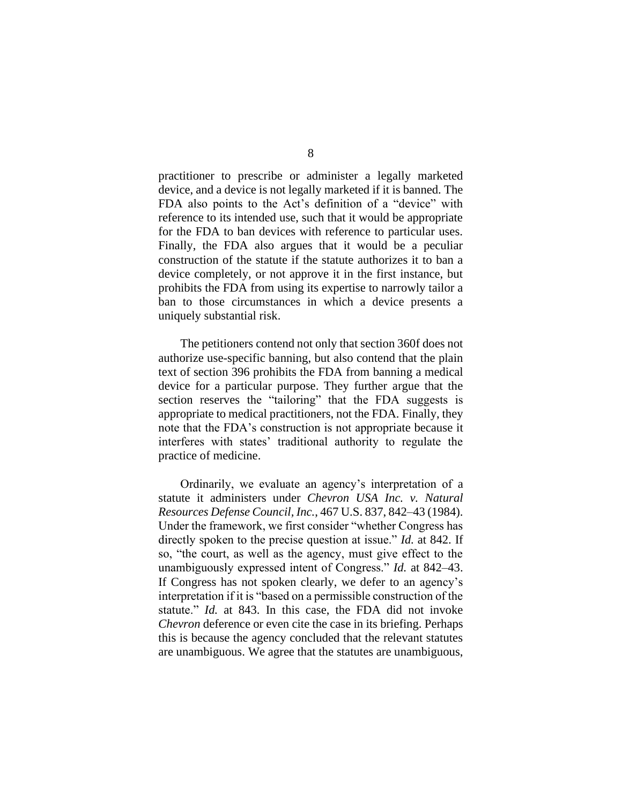practitioner to prescribe or administer a legally marketed device, and a device is not legally marketed if it is banned. The FDA also points to the Act's definition of a "device" with reference to its intended use, such that it would be appropriate for the FDA to ban devices with reference to particular uses. Finally, the FDA also argues that it would be a peculiar construction of the statute if the statute authorizes it to ban a device completely, or not approve it in the first instance, but prohibits the FDA from using its expertise to narrowly tailor a ban to those circumstances in which a device presents a uniquely substantial risk.

The petitioners contend not only that section 360f does not authorize use-specific banning, but also contend that the plain text of section 396 prohibits the FDA from banning a medical device for a particular purpose. They further argue that the section reserves the "tailoring" that the FDA suggests is appropriate to medical practitioners, not the FDA. Finally, they note that the FDA's construction is not appropriate because it interferes with states' traditional authority to regulate the practice of medicine.

Ordinarily, we evaluate an agency's interpretation of a statute it administers under *Chevron USA Inc. v. Natural Resources Defense Council, Inc.*, 467 U.S. 837, 842–43 (1984). Under the framework, we first consider "whether Congress has directly spoken to the precise question at issue." *Id.* at 842. If so, "the court, as well as the agency, must give effect to the unambiguously expressed intent of Congress." *Id.* at 842–43. If Congress has not spoken clearly, we defer to an agency's interpretation if it is "based on a permissible construction of the statute." *Id.* at 843. In this case, the FDA did not invoke *Chevron* deference or even cite the case in its briefing. Perhaps this is because the agency concluded that the relevant statutes are unambiguous. We agree that the statutes are unambiguous,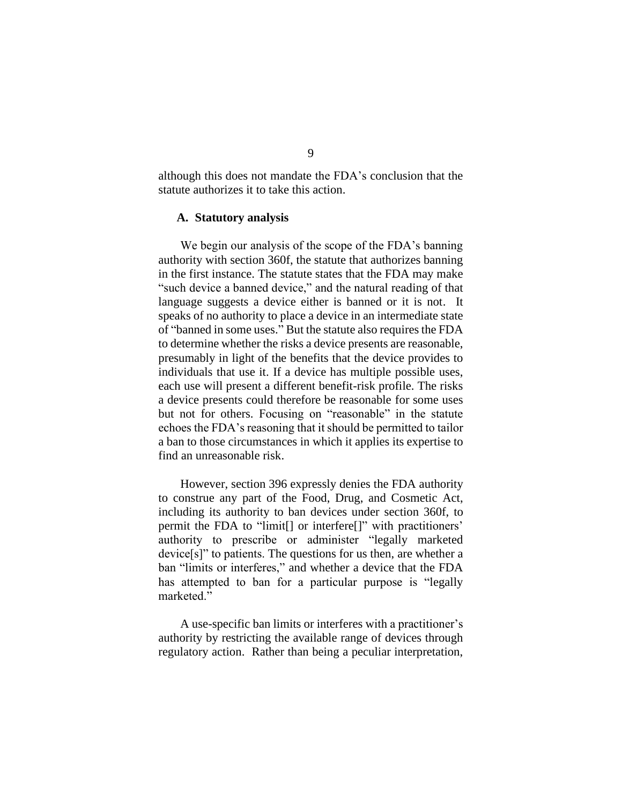although this does not mandate the FDA's conclusion that the statute authorizes it to take this action.

#### **A. Statutory analysis**

We begin our analysis of the scope of the FDA's banning authority with section 360f, the statute that authorizes banning in the first instance. The statute states that the FDA may make "such device a banned device," and the natural reading of that language suggests a device either is banned or it is not. It speaks of no authority to place a device in an intermediate state of "banned in some uses." But the statute also requires the FDA to determine whether the risks a device presents are reasonable, presumably in light of the benefits that the device provides to individuals that use it. If a device has multiple possible uses, each use will present a different benefit-risk profile. The risks a device presents could therefore be reasonable for some uses but not for others. Focusing on "reasonable" in the statute echoes the FDA's reasoning that it should be permitted to tailor a ban to those circumstances in which it applies its expertise to find an unreasonable risk.

However, section 396 expressly denies the FDA authority to construe any part of the Food, Drug, and Cosmetic Act, including its authority to ban devices under section 360f, to permit the FDA to "limit[] or interfere[]" with practitioners' authority to prescribe or administer "legally marketed device[s]" to patients. The questions for us then, are whether a ban "limits or interferes," and whether a device that the FDA has attempted to ban for a particular purpose is "legally marketed."

A use-specific ban limits or interferes with a practitioner's authority by restricting the available range of devices through regulatory action. Rather than being a peculiar interpretation,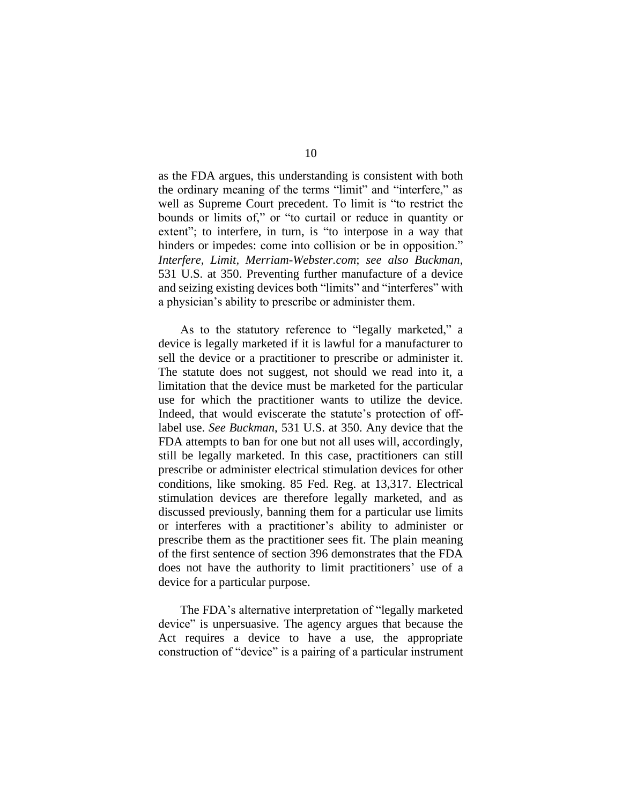as the FDA argues, this understanding is consistent with both the ordinary meaning of the terms "limit" and "interfere," as well as Supreme Court precedent. To limit is "to restrict the bounds or limits of," or "to curtail or reduce in quantity or extent"; to interfere, in turn, is "to interpose in a way that hinders or impedes: come into collision or be in opposition." *Interfere, Limit, Merriam-Webster.com*; *see also Buckman*, 531 U.S. at 350. Preventing further manufacture of a device and seizing existing devices both "limits" and "interferes" with a physician's ability to prescribe or administer them.

As to the statutory reference to "legally marketed," a device is legally marketed if it is lawful for a manufacturer to sell the device or a practitioner to prescribe or administer it. The statute does not suggest, not should we read into it, a limitation that the device must be marketed for the particular use for which the practitioner wants to utilize the device. Indeed, that would eviscerate the statute's protection of offlabel use. *See Buckman*, 531 U.S. at 350. Any device that the FDA attempts to ban for one but not all uses will, accordingly, still be legally marketed. In this case, practitioners can still prescribe or administer electrical stimulation devices for other conditions, like smoking. 85 Fed. Reg. at 13,317. Electrical stimulation devices are therefore legally marketed, and as discussed previously, banning them for a particular use limits or interferes with a practitioner's ability to administer or prescribe them as the practitioner sees fit. The plain meaning of the first sentence of section 396 demonstrates that the FDA does not have the authority to limit practitioners' use of a device for a particular purpose.

The FDA's alternative interpretation of "legally marketed device" is unpersuasive. The agency argues that because the Act requires a device to have a use, the appropriate construction of "device" is a pairing of a particular instrument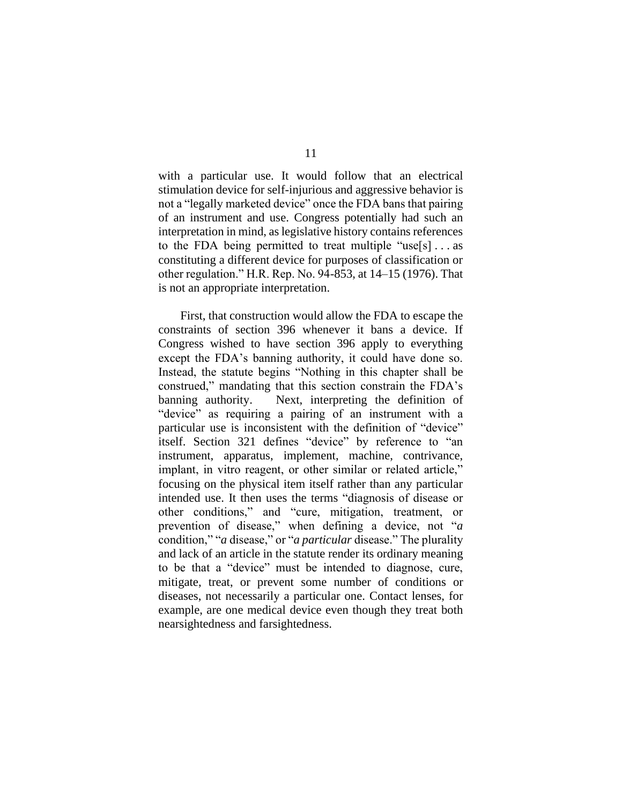with a particular use. It would follow that an electrical stimulation device for self-injurious and aggressive behavior is not a "legally marketed device" once the FDA bans that pairing of an instrument and use. Congress potentially had such an interpretation in mind, as legislative history contains references to the FDA being permitted to treat multiple "use $[s] \dots$  as constituting a different device for purposes of classification or other regulation." H.R. Rep. No. 94-853, at 14–15 (1976). That is not an appropriate interpretation.

First, that construction would allow the FDA to escape the constraints of section 396 whenever it bans a device. If Congress wished to have section 396 apply to everything except the FDA's banning authority, it could have done so. Instead, the statute begins "Nothing in this chapter shall be construed," mandating that this section constrain the FDA's banning authority. Next, interpreting the definition of "device" as requiring a pairing of an instrument with a particular use is inconsistent with the definition of "device" itself. Section 321 defines "device" by reference to "an instrument, apparatus, implement, machine, contrivance, implant, in vitro reagent, or other similar or related article," focusing on the physical item itself rather than any particular intended use. It then uses the terms "diagnosis of disease or other conditions," and "cure, mitigation, treatment, or prevention of disease," when defining a device, not "*a*  condition," "*a* disease," or "*a particular* disease." The plurality and lack of an article in the statute render its ordinary meaning to be that a "device" must be intended to diagnose, cure, mitigate, treat, or prevent some number of conditions or diseases, not necessarily a particular one. Contact lenses, for example, are one medical device even though they treat both nearsightedness and farsightedness.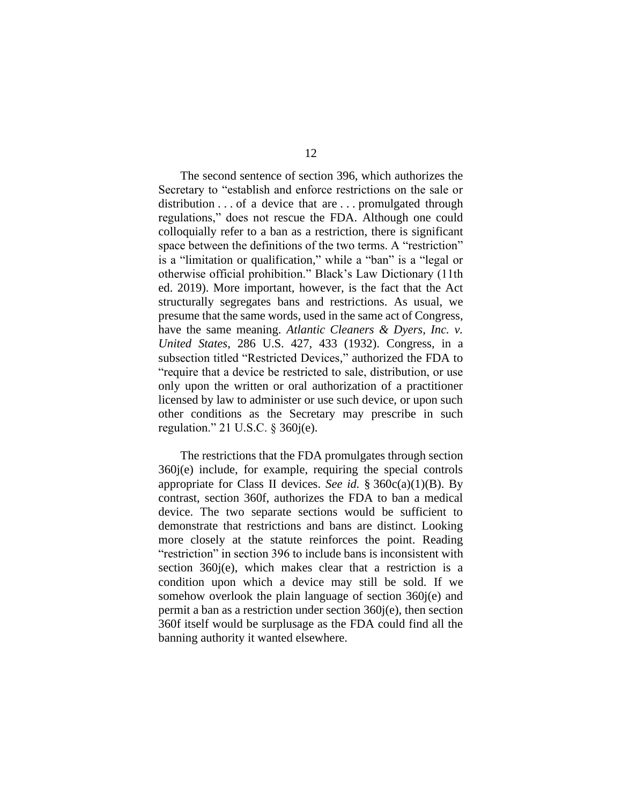The second sentence of section 396, which authorizes the Secretary to "establish and enforce restrictions on the sale or distribution . . . of a device that are . . . promulgated through regulations," does not rescue the FDA. Although one could colloquially refer to a ban as a restriction, there is significant space between the definitions of the two terms. A "restriction" is a "limitation or qualification," while a "ban" is a "legal or otherwise official prohibition." Black's Law Dictionary (11th ed. 2019). More important, however, is the fact that the Act structurally segregates bans and restrictions. As usual, we presume that the same words, used in the same act of Congress, have the same meaning. *Atlantic Cleaners & Dyers, Inc. v. United States*, 286 U.S. 427, 433 (1932). Congress, in a subsection titled "Restricted Devices," authorized the FDA to "require that a device be restricted to sale, distribution, or use only upon the written or oral authorization of a practitioner licensed by law to administer or use such device, or upon such other conditions as the Secretary may prescribe in such regulation." 21 U.S.C. § 360j(e).

The restrictions that the FDA promulgates through section 360j(e) include, for example, requiring the special controls appropriate for Class II devices. *See id.* § 360c(a)(1)(B). By contrast, section 360f, authorizes the FDA to ban a medical device. The two separate sections would be sufficient to demonstrate that restrictions and bans are distinct. Looking more closely at the statute reinforces the point. Reading "restriction" in section 396 to include bans is inconsistent with section 360j(e), which makes clear that a restriction is a condition upon which a device may still be sold. If we somehow overlook the plain language of section 360j(e) and permit a ban as a restriction under section 360j(e), then section 360f itself would be surplusage as the FDA could find all the banning authority it wanted elsewhere.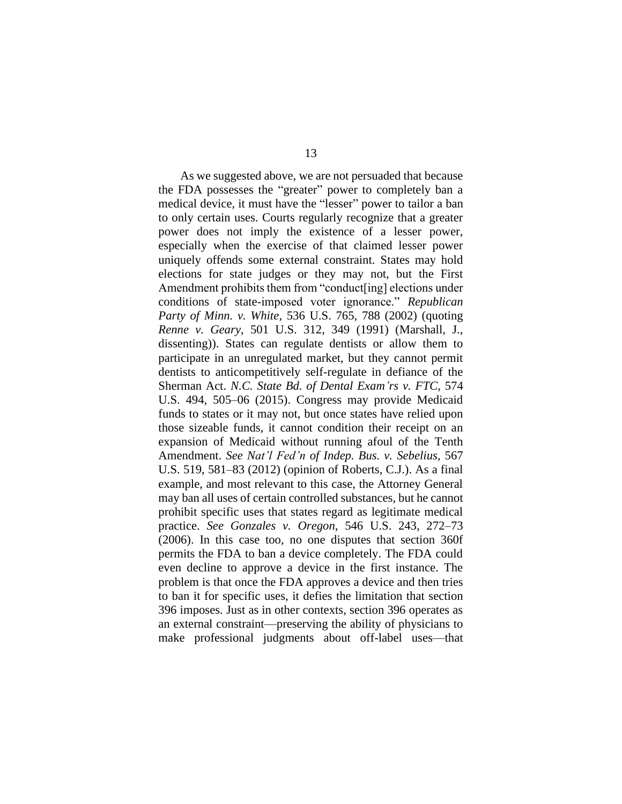As we suggested above, we are not persuaded that because the FDA possesses the "greater" power to completely ban a medical device, it must have the "lesser" power to tailor a ban to only certain uses. Courts regularly recognize that a greater power does not imply the existence of a lesser power, especially when the exercise of that claimed lesser power uniquely offends some external constraint. States may hold elections for state judges or they may not, but the First Amendment prohibits them from "conduct[ing] elections under conditions of state-imposed voter ignorance." *Republican Party of Minn. v. White*, 536 U.S. 765, 788 (2002) (quoting *Renne v. Geary*, 501 U.S. 312, 349 (1991) (Marshall, J., dissenting)). States can regulate dentists or allow them to participate in an unregulated market, but they cannot permit dentists to anticompetitively self-regulate in defiance of the Sherman Act. *N.C. State Bd. of Dental Exam'rs v. FTC*, 574 U.S. 494, 505–06 (2015). Congress may provide Medicaid funds to states or it may not, but once states have relied upon those sizeable funds, it cannot condition their receipt on an expansion of Medicaid without running afoul of the Tenth Amendment. *See Nat'l Fed'n of Indep. Bus. v. Sebelius*, 567 U.S. 519, 581–83 (2012) (opinion of Roberts, C.J.). As a final example, and most relevant to this case, the Attorney General may ban all uses of certain controlled substances, but he cannot prohibit specific uses that states regard as legitimate medical practice. *See Gonzales v. Oregon*, 546 U.S. 243, 272–73 (2006). In this case too, no one disputes that section 360f permits the FDA to ban a device completely. The FDA could even decline to approve a device in the first instance. The problem is that once the FDA approves a device and then tries to ban it for specific uses, it defies the limitation that section 396 imposes. Just as in other contexts, section 396 operates as an external constraint—preserving the ability of physicians to make professional judgments about off-label uses—that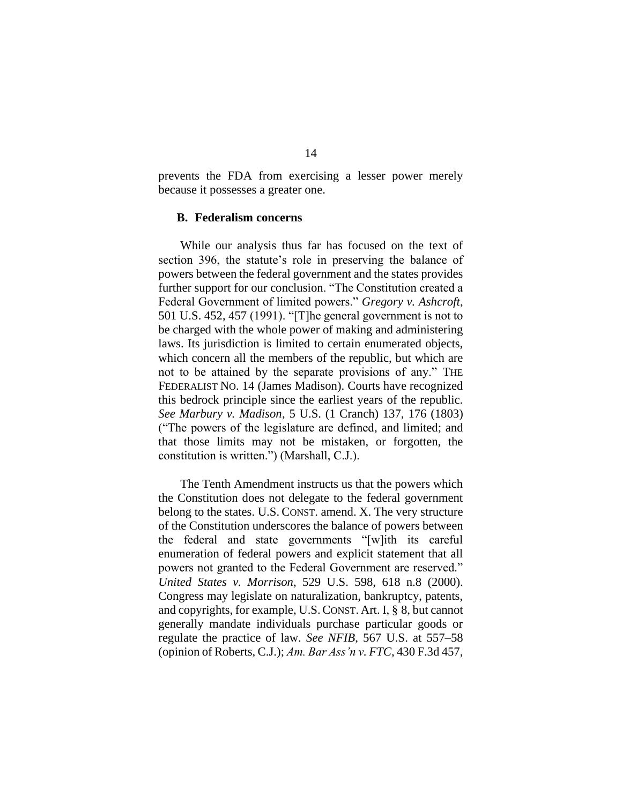prevents the FDA from exercising a lesser power merely because it possesses a greater one.

#### **B. Federalism concerns**

While our analysis thus far has focused on the text of section 396, the statute's role in preserving the balance of powers between the federal government and the states provides further support for our conclusion. "The Constitution created a Federal Government of limited powers." *Gregory v. Ashcroft*, 501 U.S. 452, 457 (1991). "[T]he general government is not to be charged with the whole power of making and administering laws. Its jurisdiction is limited to certain enumerated objects, which concern all the members of the republic, but which are not to be attained by the separate provisions of any." THE FEDERALIST NO. 14 (James Madison). Courts have recognized this bedrock principle since the earliest years of the republic. *See Marbury v. Madison*, 5 U.S. (1 Cranch) 137, 176 (1803) ("The powers of the legislature are defined, and limited; and that those limits may not be mistaken, or forgotten, the constitution is written.") (Marshall, C.J.).

The Tenth Amendment instructs us that the powers which the Constitution does not delegate to the federal government belong to the states. U.S. CONST. amend. X. The very structure of the Constitution underscores the balance of powers between the federal and state governments "[w]ith its careful enumeration of federal powers and explicit statement that all powers not granted to the Federal Government are reserved." *United States v. Morrison*, 529 U.S. 598, 618 n.8 (2000). Congress may legislate on naturalization, bankruptcy, patents, and copyrights, for example, U.S.CONST. Art. I, § 8, but cannot generally mandate individuals purchase particular goods or regulate the practice of law. *See NFIB*, 567 U.S. at 557–58 (opinion of Roberts, C.J.); *Am. Bar Ass'n v. FTC*, 430 F.3d 457,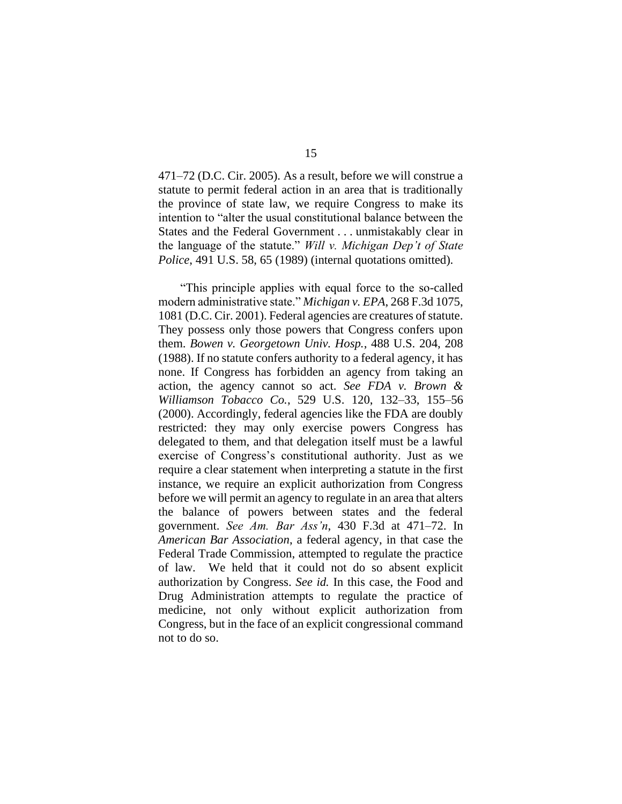471–72 (D.C. Cir. 2005). As a result, before we will construe a statute to permit federal action in an area that is traditionally the province of state law, we require Congress to make its intention to "alter the usual constitutional balance between the States and the Federal Government . . . unmistakably clear in the language of the statute." *Will v. Michigan Dep't of State Police*, 491 U.S. 58, 65 (1989) (internal quotations omitted).

"This principle applies with equal force to the so-called modern administrative state." *Michigan v. EPA*, 268 F.3d 1075, 1081 (D.C. Cir. 2001). Federal agencies are creatures of statute. They possess only those powers that Congress confers upon them. *Bowen v. Georgetown Univ. Hosp.*, 488 U.S. 204, 208 (1988). If no statute confers authority to a federal agency, it has none. If Congress has forbidden an agency from taking an action, the agency cannot so act. *See FDA v. Brown & Williamson Tobacco Co.*, 529 U.S. 120, 132–33, 155–56 (2000). Accordingly, federal agencies like the FDA are doubly restricted: they may only exercise powers Congress has delegated to them, and that delegation itself must be a lawful exercise of Congress's constitutional authority. Just as we require a clear statement when interpreting a statute in the first instance, we require an explicit authorization from Congress before we will permit an agency to regulate in an area that alters the balance of powers between states and the federal government. *See Am. Bar Ass'n*, 430 F.3d at 471–72. In *American Bar Association*, a federal agency, in that case the Federal Trade Commission, attempted to regulate the practice of law. We held that it could not do so absent explicit authorization by Congress. *See id.* In this case, the Food and Drug Administration attempts to regulate the practice of medicine, not only without explicit authorization from Congress, but in the face of an explicit congressional command not to do so.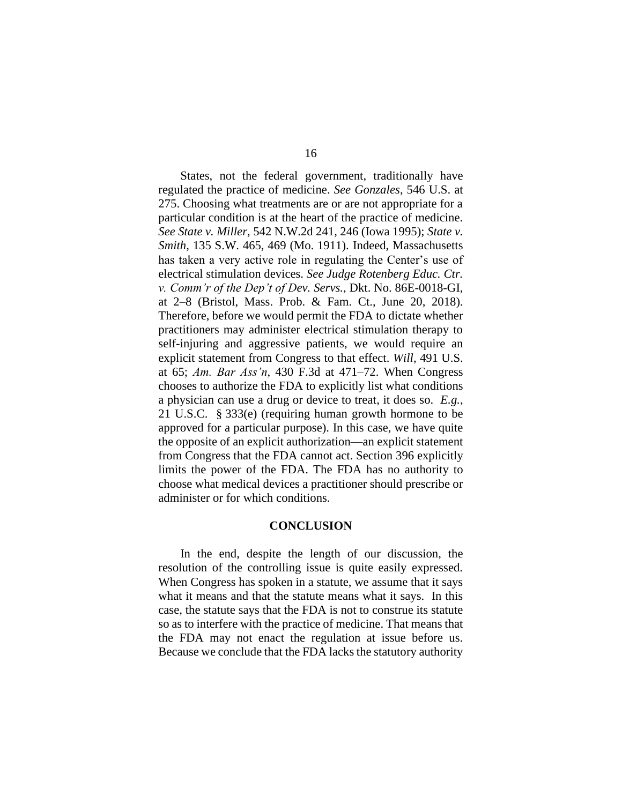States, not the federal government, traditionally have regulated the practice of medicine. *See Gonzales*, 546 U.S. at 275. Choosing what treatments are or are not appropriate for a particular condition is at the heart of the practice of medicine. *See State v. Miller*, 542 N.W.2d 241, 246 (Iowa 1995); *State v. Smith*, 135 S.W. 465, 469 (Mo. 1911). Indeed, Massachusetts has taken a very active role in regulating the Center's use of electrical stimulation devices. *See Judge Rotenberg Educ. Ctr. v. Comm'r of the Dep't of Dev. Servs.*, Dkt. No. 86E-0018-GI, at 2–8 (Bristol, Mass. Prob. & Fam. Ct., June 20, 2018). Therefore, before we would permit the FDA to dictate whether practitioners may administer electrical stimulation therapy to self-injuring and aggressive patients, we would require an explicit statement from Congress to that effect. *Will*, 491 U.S. at 65; *Am. Bar Ass'n*, 430 F.3d at 471–72. When Congress chooses to authorize the FDA to explicitly list what conditions a physician can use a drug or device to treat, it does so. *E.g.*, 21 U.S.C. § 333(e) (requiring human growth hormone to be approved for a particular purpose). In this case, we have quite the opposite of an explicit authorization—an explicit statement from Congress that the FDA cannot act. Section 396 explicitly limits the power of the FDA. The FDA has no authority to choose what medical devices a practitioner should prescribe or administer or for which conditions.

## **CONCLUSION**

In the end, despite the length of our discussion, the resolution of the controlling issue is quite easily expressed. When Congress has spoken in a statute, we assume that it says what it means and that the statute means what it says. In this case, the statute says that the FDA is not to construe its statute so as to interfere with the practice of medicine. That means that the FDA may not enact the regulation at issue before us. Because we conclude that the FDA lacks the statutory authority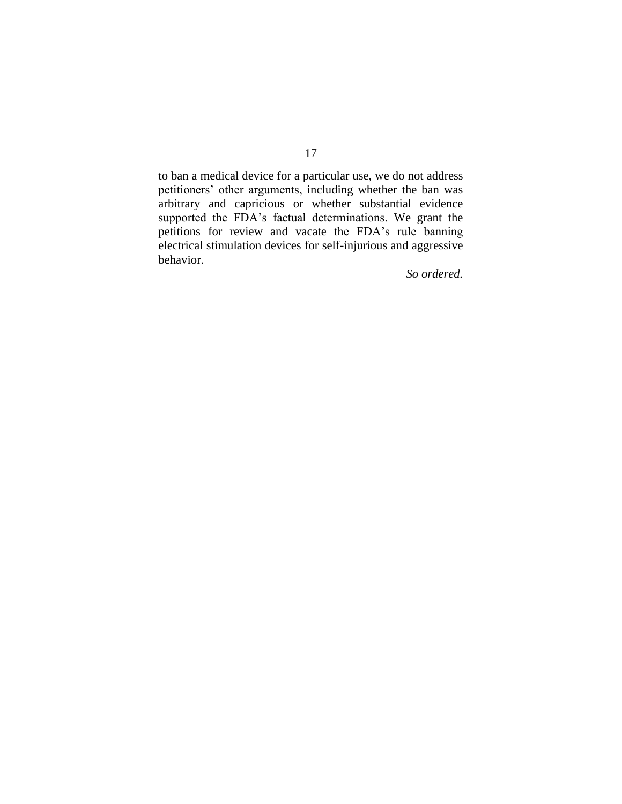to ban a medical device for a particular use, we do not address petitioners' other arguments, including whether the ban was arbitrary and capricious or whether substantial evidence supported the FDA's factual determinations. We grant the petitions for review and vacate the FDA's rule banning electrical stimulation devices for self-injurious and aggressive behavior.

*So ordered.*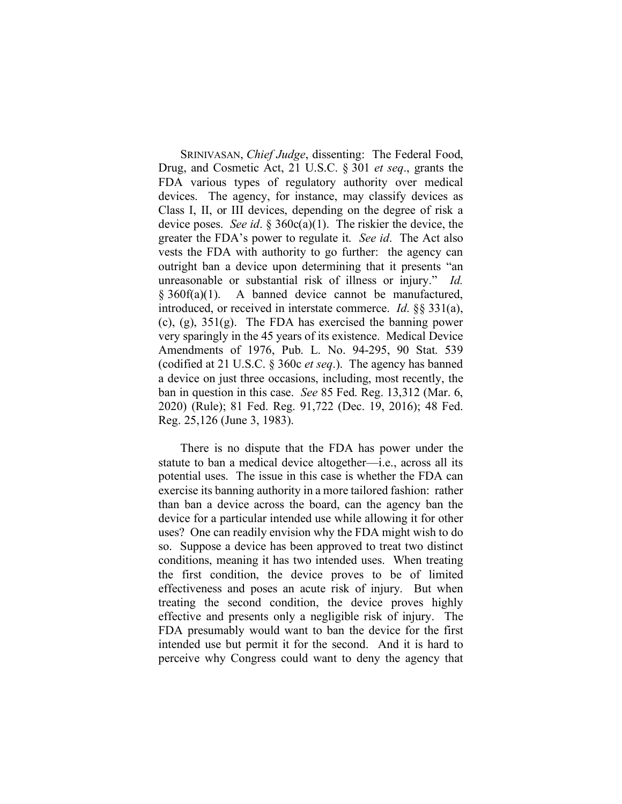SRINIVASAN, *Chief Judge*, dissenting: The Federal Food, Drug, and Cosmetic Act, 21 U.S.C. § 301 *et seq*., grants the FDA various types of regulatory authority over medical devices. The agency, for instance, may classify devices as Class I, II, or III devices, depending on the degree of risk a device poses. *See id*. § 360c(a)(1). The riskier the device, the greater the FDA's power to regulate it. *See id*. The Act also vests the FDA with authority to go further: the agency can outright ban a device upon determining that it presents "an unreasonable or substantial risk of illness or injury." *Id.*   $§ 360f(a)(1)$ . A banned device cannot be manufactured, introduced, or received in interstate commerce. *Id*. §§ 331(a), (c),  $(g)$ ,  $351(g)$ . The FDA has exercised the banning power very sparingly in the 45 years of its existence. Medical Device Amendments of 1976, Pub. L. No. 94-295, 90 Stat. 539 (codified at 21 U.S.C. § 360c *et seq*.). The agency has banned a device on just three occasions, including, most recently, the ban in question in this case. *See* 85 Fed. Reg. 13,312 (Mar. 6, 2020) (Rule); 81 Fed. Reg. 91,722 (Dec. 19, 2016); 48 Fed. Reg. 25,126 (June 3, 1983).

There is no dispute that the FDA has power under the statute to ban a medical device altogether—i.e., across all its potential uses. The issue in this case is whether the FDA can exercise its banning authority in a more tailored fashion: rather than ban a device across the board, can the agency ban the device for a particular intended use while allowing it for other uses? One can readily envision why the FDA might wish to do so. Suppose a device has been approved to treat two distinct conditions, meaning it has two intended uses. When treating the first condition, the device proves to be of limited effectiveness and poses an acute risk of injury. But when treating the second condition, the device proves highly effective and presents only a negligible risk of injury. The FDA presumably would want to ban the device for the first intended use but permit it for the second. And it is hard to perceive why Congress could want to deny the agency that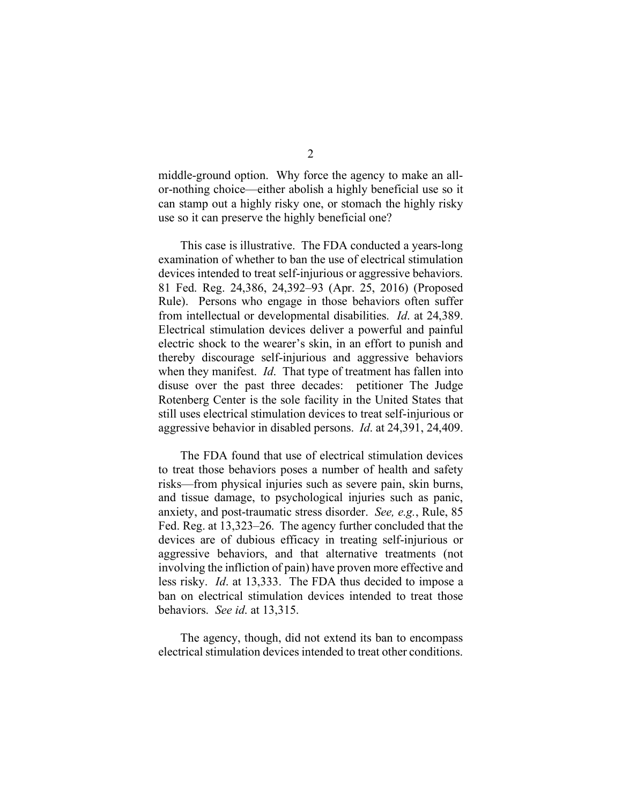middle-ground option. Why force the agency to make an allor-nothing choice—either abolish a highly beneficial use so it can stamp out a highly risky one, or stomach the highly risky use so it can preserve the highly beneficial one?

This case is illustrative. The FDA conducted a years-long examination of whether to ban the use of electrical stimulation devices intended to treat self-injurious or aggressive behaviors. 81 Fed. Reg. 24,386, 24,392–93 (Apr. 25, 2016) (Proposed Rule). Persons who engage in those behaviors often suffer from intellectual or developmental disabilities. *Id*. at 24,389. Electrical stimulation devices deliver a powerful and painful electric shock to the wearer's skin, in an effort to punish and thereby discourage self-injurious and aggressive behaviors when they manifest. *Id*. That type of treatment has fallen into disuse over the past three decades: petitioner The Judge Rotenberg Center is the sole facility in the United States that still uses electrical stimulation devices to treat self-injurious or aggressive behavior in disabled persons. *Id*. at 24,391, 24,409.

The FDA found that use of electrical stimulation devices to treat those behaviors poses a number of health and safety risks—from physical injuries such as severe pain, skin burns, and tissue damage, to psychological injuries such as panic, anxiety, and post-traumatic stress disorder. *See, e.g.*, Rule, 85 Fed. Reg. at 13,323–26. The agency further concluded that the devices are of dubious efficacy in treating self-injurious or aggressive behaviors, and that alternative treatments (not involving the infliction of pain) have proven more effective and less risky. *Id*. at 13,333. The FDA thus decided to impose a ban on electrical stimulation devices intended to treat those behaviors. *See id*. at 13,315.

The agency, though, did not extend its ban to encompass electrical stimulation devices intended to treat other conditions.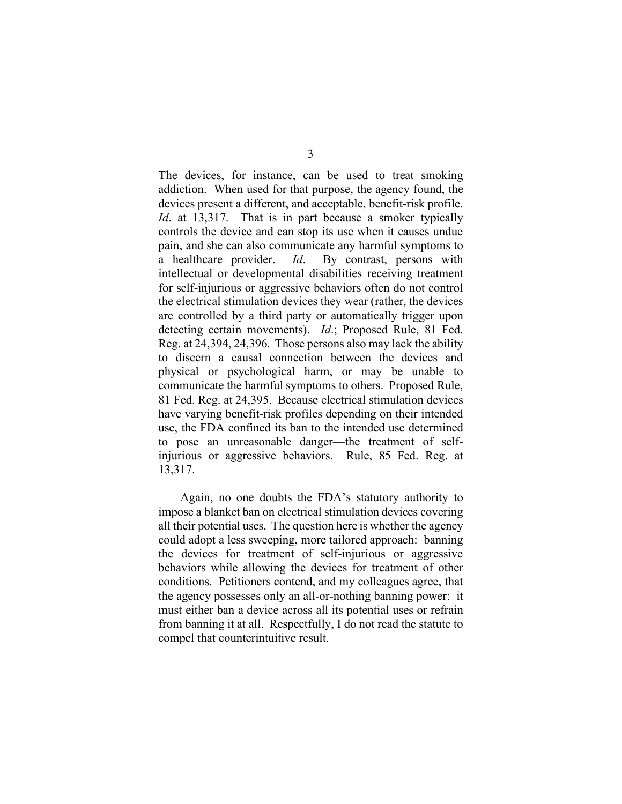The devices, for instance, can be used to treat smoking addiction. When used for that purpose, the agency found, the devices present a different, and acceptable, benefit-risk profile. *Id*. at 13,317. That is in part because a smoker typically controls the device and can stop its use when it causes undue pain, and she can also communicate any harmful symptoms to a healthcare provider. *Id*. By contrast, persons with intellectual or developmental disabilities receiving treatment for self-injurious or aggressive behaviors often do not control the electrical stimulation devices they wear (rather, the devices are controlled by a third party or automatically trigger upon detecting certain movements). *Id*.; Proposed Rule, 81 Fed. Reg. at 24,394, 24,396. Those persons also may lack the ability to discern a causal connection between the devices and physical or psychological harm, or may be unable to communicate the harmful symptoms to others. Proposed Rule, 81 Fed. Reg. at 24,395. Because electrical stimulation devices have varying benefit-risk profiles depending on their intended use, the FDA confined its ban to the intended use determined to pose an unreasonable danger—the treatment of selfinjurious or aggressive behaviors. Rule, 85 Fed. Reg. at 13,317.

Again, no one doubts the FDA's statutory authority to impose a blanket ban on electrical stimulation devices covering all their potential uses. The question here is whether the agency could adopt a less sweeping, more tailored approach: banning the devices for treatment of self-injurious or aggressive behaviors while allowing the devices for treatment of other conditions. Petitioners contend, and my colleagues agree, that the agency possesses only an all-or-nothing banning power: it must either ban a device across all its potential uses or refrain from banning it at all. Respectfully, I do not read the statute to compel that counterintuitive result.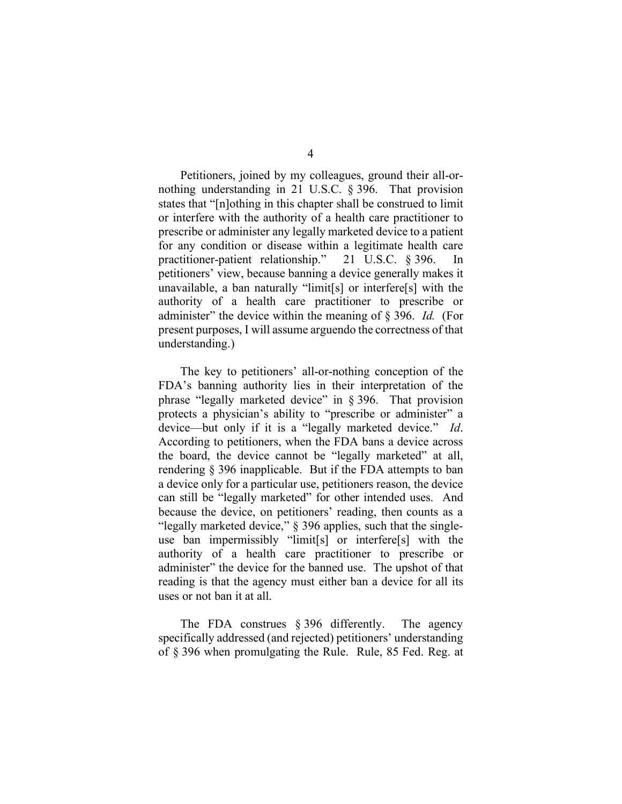Petitioners, joined by my colleagues, ground their all-ornothing understanding in 21 U.S.C. § 396. That provision states that "[n]othing in this chapter shall be construed to limit or interfere with the authority of a health care practitioner to prescribe or administer any legally marketed device to a patient for any condition or disease within a legitimate health care practitioner-patient relationship." 21 U.S.C. § 396. In petitioners' view, because banning a device generally makes it unavailable, a ban naturally "limit[s] or interfere[s] with the authority of a health care practitioner to prescribe or administer" the device within the meaning of § 396. *Id.* (For present purposes, I will assume arguendo the correctness of that understanding.)

The key to petitioners' all-or-nothing conception of the FDA's banning authority lies in their interpretation of the phrase "legally marketed device" in § 396. That provision protects a physician's ability to "prescribe or administer" a device—but only if it is a "legally marketed device." *Id*. According to petitioners, when the FDA bans a device across the board, the device cannot be "legally marketed" at all, rendering § 396 inapplicable. But if the FDA attempts to ban a device only for a particular use, petitioners reason, the device can still be "legally marketed" for other intended uses. And because the device, on petitioners' reading, then counts as a "legally marketed device," § 396 applies, such that the singleuse ban impermissibly "limit[s] or interfere[s] with the authority of a health care practitioner to prescribe or administer" the device for the banned use. The upshot of that reading is that the agency must either ban a device for all its uses or not ban it at all.

The FDA construes § 396 differently. The agency specifically addressed (and rejected) petitioners' understanding of § 396 when promulgating the Rule. Rule, 85 Fed. Reg. at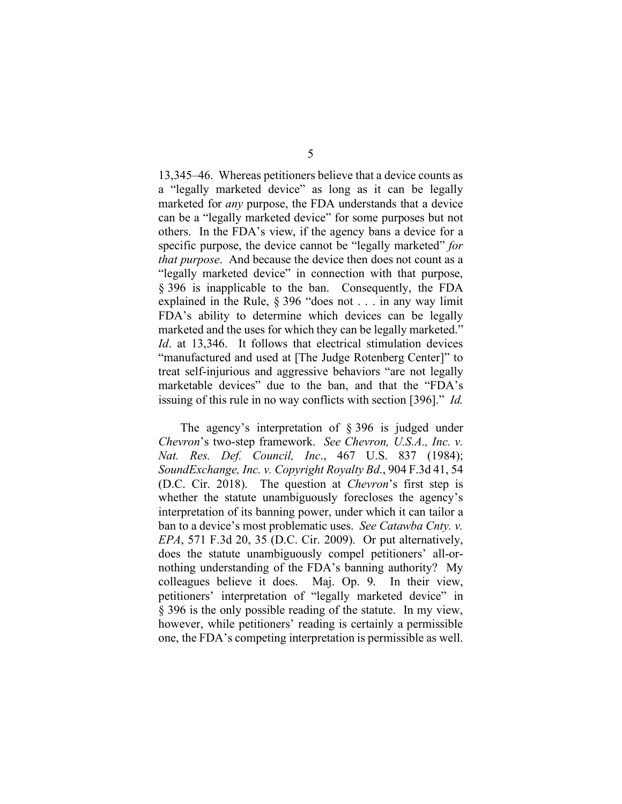13,345–46. Whereas petitioners believe that a device counts as a "legally marketed device" as long as it can be legally marketed for *any* purpose, the FDA understands that a device can be a "legally marketed device" for some purposes but not others. In the FDA's view, if the agency bans a device for a specific purpose, the device cannot be "legally marketed" *for that purpose*. And because the device then does not count as a "legally marketed device" in connection with that purpose, § 396 is inapplicable to the ban. Consequently, the FDA explained in the Rule, § 396 "does not . . . in any way limit FDA's ability to determine which devices can be legally marketed and the uses for which they can be legally marketed." *Id.* at 13,346. It follows that electrical stimulation devices "manufactured and used at [The Judge Rotenberg Center]" to treat self-injurious and aggressive behaviors "are not legally marketable devices" due to the ban, and that the "FDA's issuing of this rule in no way conflicts with section [396]." *Id.*

The agency's interpretation of § 396 is judged under *Chevron*'s two-step framework. *See Chevron, U.S.A., Inc. v. Nat. Res. Def. Council, Inc*., 467 U.S. 837 (1984); *SoundExchange, Inc. v. Copyright Royalty Bd*., 904 F.3d 41, 54 (D.C. Cir. 2018). The question at *Chevron*'s first step is whether the statute unambiguously forecloses the agency's interpretation of its banning power, under which it can tailor a ban to a device's most problematic uses. *See Catawba Cnty. v. EPA*, 571 F.3d 20, 35 (D.C. Cir. 2009). Or put alternatively, does the statute unambiguously compel petitioners' all-ornothing understanding of the FDA's banning authority? My colleagues believe it does. Maj. Op. 9. In their view, petitioners' interpretation of "legally marketed device" in § 396 is the only possible reading of the statute. In my view, however, while petitioners' reading is certainly a permissible one, the FDA's competing interpretation is permissible as well.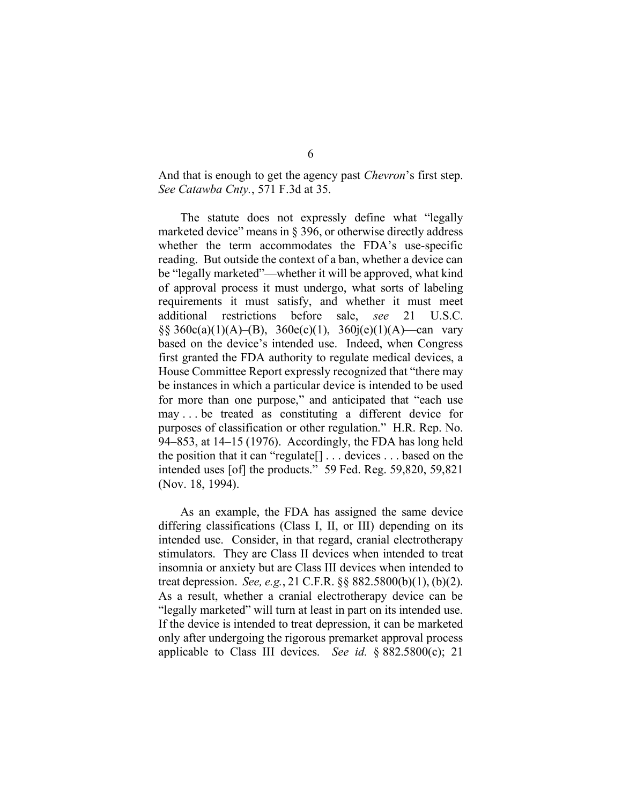And that is enough to get the agency past *Chevron*'s first step. *See Catawba Cnty.*, 571 F.3d at 35.

The statute does not expressly define what "legally marketed device" means in § 396, or otherwise directly address whether the term accommodates the FDA's use-specific reading. But outside the context of a ban, whether a device can be "legally marketed"—whether it will be approved, what kind of approval process it must undergo, what sorts of labeling requirements it must satisfy, and whether it must meet additional restrictions before sale, *see* 21 U.S.C. §§ 360c(a)(1)(A)–(B), 360e(c)(1), 360 $j(e)$ (1)(A)—can vary based on the device's intended use. Indeed, when Congress first granted the FDA authority to regulate medical devices, a House Committee Report expressly recognized that "there may be instances in which a particular device is intended to be used for more than one purpose," and anticipated that "each use may . . . be treated as constituting a different device for purposes of classification or other regulation." H.R. Rep. No. 94–853, at 14–15 (1976). Accordingly, the FDA has long held the position that it can "regulate[] . . . devices . . . based on the intended uses [of] the products." 59 Fed. Reg. 59,820, 59,821 (Nov. 18, 1994).

As an example, the FDA has assigned the same device differing classifications (Class I, II, or III) depending on its intended use. Consider, in that regard, cranial electrotherapy stimulators. They are Class II devices when intended to treat insomnia or anxiety but are Class III devices when intended to treat depression. *See, e.g.*, 21 C.F.R. §§ 882.5800(b)(1), (b)(2). As a result, whether a cranial electrotherapy device can be "legally marketed" will turn at least in part on its intended use. If the device is intended to treat depression, it can be marketed only after undergoing the rigorous premarket approval process applicable to Class III devices. *See id.* § 882.5800(c); 21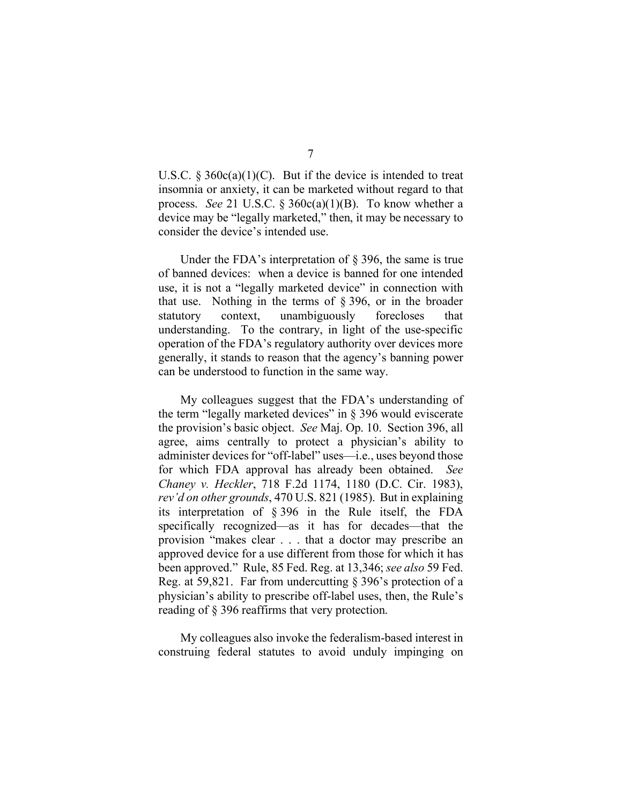U.S.C.  $\S 360c(a)(1)(C)$ . But if the device is intended to treat insomnia or anxiety, it can be marketed without regard to that process. *See* 21 U.S.C. § 360c(a)(1)(B). To know whether a device may be "legally marketed," then, it may be necessary to consider the device's intended use.

Under the FDA's interpretation of  $\S$  396, the same is true of banned devices: when a device is banned for one intended use, it is not a "legally marketed device" in connection with that use. Nothing in the terms of § 396, or in the broader statutory context, unambiguously forecloses that understanding. To the contrary, in light of the use-specific operation of the FDA's regulatory authority over devices more generally, it stands to reason that the agency's banning power can be understood to function in the same way.

My colleagues suggest that the FDA's understanding of the term "legally marketed devices" in § 396 would eviscerate the provision's basic object. *See* Maj. Op. 10. Section 396, all agree, aims centrally to protect a physician's ability to administer devices for "off-label" uses—i.e., uses beyond those for which FDA approval has already been obtained. *See Chaney v. Heckler*, 718 F.2d 1174, 1180 (D.C. Cir. 1983), *rev'd on other grounds*, 470 U.S. 821 (1985). But in explaining its interpretation of § 396 in the Rule itself, the FDA specifically recognized—as it has for decades—that the provision "makes clear . . . that a doctor may prescribe an approved device for a use different from those for which it has been approved." Rule, 85 Fed. Reg. at 13,346; *see also* 59 Fed. Reg. at 59,821. Far from undercutting § 396's protection of a physician's ability to prescribe off-label uses, then, the Rule's reading of § 396 reaffirms that very protection.

My colleagues also invoke the federalism-based interest in construing federal statutes to avoid unduly impinging on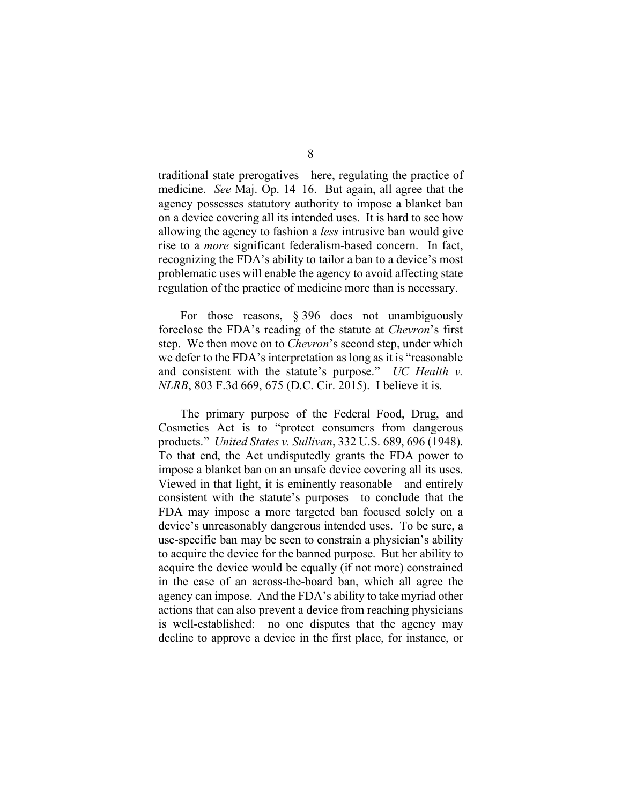traditional state prerogatives—here, regulating the practice of medicine. *See* Maj. Op. 14–16. But again, all agree that the agency possesses statutory authority to impose a blanket ban on a device covering all its intended uses. It is hard to see how allowing the agency to fashion a *less* intrusive ban would give rise to a *more* significant federalism-based concern. In fact, recognizing the FDA's ability to tailor a ban to a device's most problematic uses will enable the agency to avoid affecting state regulation of the practice of medicine more than is necessary.

For those reasons, § 396 does not unambiguously foreclose the FDA's reading of the statute at *Chevron*'s first step. We then move on to *Chevron*'s second step, under which we defer to the FDA's interpretation as long as it is "reasonable and consistent with the statute's purpose." *UC Health v. NLRB*, 803 F.3d 669, 675 (D.C. Cir. 2015). I believe it is.

The primary purpose of the Federal Food, Drug, and Cosmetics Act is to "protect consumers from dangerous products." *United States v. Sullivan*, 332 U.S. 689, 696 (1948). To that end, the Act undisputedly grants the FDA power to impose a blanket ban on an unsafe device covering all its uses. Viewed in that light, it is eminently reasonable—and entirely consistent with the statute's purposes—to conclude that the FDA may impose a more targeted ban focused solely on a device's unreasonably dangerous intended uses. To be sure, a use-specific ban may be seen to constrain a physician's ability to acquire the device for the banned purpose. But her ability to acquire the device would be equally (if not more) constrained in the case of an across-the-board ban, which all agree the agency can impose. And the FDA's ability to take myriad other actions that can also prevent a device from reaching physicians is well-established: no one disputes that the agency may decline to approve a device in the first place, for instance, or